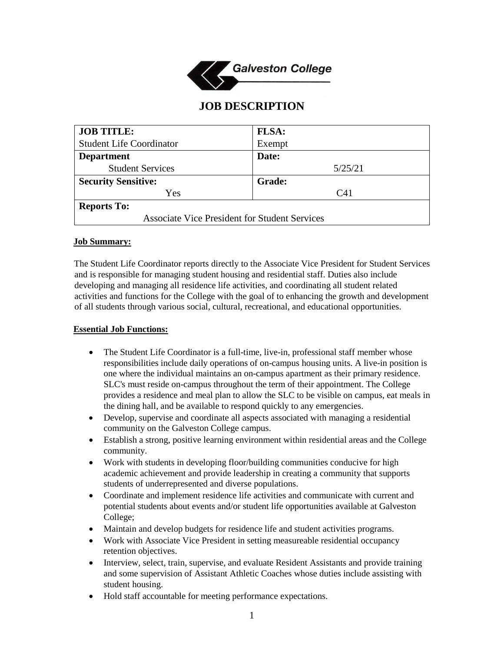

# **JOB DESCRIPTION**

| <b>JOB TITLE:</b>                                    | FLSA:         |
|------------------------------------------------------|---------------|
| <b>Student Life Coordinator</b>                      | Exempt        |
| <b>Department</b>                                    | Date:         |
| <b>Student Services</b>                              | 5/25/21       |
| <b>Security Sensitive:</b>                           | <b>Grade:</b> |
| Yes                                                  | C41           |
| <b>Reports To:</b>                                   |               |
| <b>Associate Vice President for Student Services</b> |               |

#### **Job Summary:**

The Student Life Coordinator reports directly to the Associate Vice President for Student Services and is responsible for managing student housing and residential staff. Duties also include developing and managing all residence life activities, and coordinating all student related activities and functions for the College with the goal of to enhancing the growth and development of all students through various social, cultural, recreational, and educational opportunities.

#### **Essential Job Functions:**

- The Student Life Coordinator is a full-time, live-in, professional staff member whose responsibilities include daily operations of on-campus housing units. A live-in position is one where the individual maintains an on-campus apartment as their primary residence. SLC's must reside on-campus throughout the term of their appointment. The College provides a residence and meal plan to allow the SLC to be visible on campus, eat meals in the dining hall, and be available to respond quickly to any emergencies.
- Develop, supervise and coordinate all aspects associated with managing a residential community on the Galveston College campus.
- Establish a strong, positive learning environment within residential areas and the College community.
- Work with students in developing floor/building communities conducive for high academic achievement and provide leadership in creating a community that supports students of underrepresented and diverse populations.
- Coordinate and implement residence life activities and communicate with current and potential students about events and/or student life opportunities available at Galveston College;
- Maintain and develop budgets for residence life and student activities programs.
- Work with Associate Vice President in setting measureable residential occupancy retention objectives.
- Interview, select, train, supervise, and evaluate Resident Assistants and provide training and some supervision of Assistant Athletic Coaches whose duties include assisting with student housing.
- Hold staff accountable for meeting performance expectations.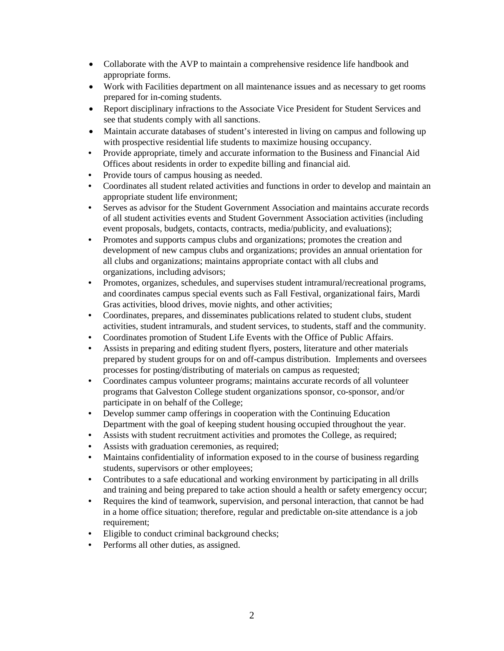- Collaborate with the AVP to maintain a comprehensive residence life handbook and appropriate forms.
- Work with Facilities department on all maintenance issues and as necessary to get rooms prepared for in-coming students.
- Report disciplinary infractions to the Associate Vice President for Student Services and see that students comply with all sanctions.
- Maintain accurate databases of student's interested in living on campus and following up with prospective residential life students to maximize housing occupancy.
- Provide appropriate, timely and accurate information to the Business and Financial Aid Offices about residents in order to expedite billing and financial aid.
- Provide tours of campus housing as needed.
- Coordinates all student related activities and functions in order to develop and maintain an appropriate student life environment;
- Serves as advisor for the Student Government Association and maintains accurate records of all student activities events and Student Government Association activities (including event proposals, budgets, contacts, contracts, media/publicity, and evaluations);
- Promotes and supports campus clubs and organizations; promotes the creation and development of new campus clubs and organizations; provides an annual orientation for all clubs and organizations; maintains appropriate contact with all clubs and organizations, including advisors;
- Promotes, organizes, schedules, and supervises student intramural/recreational programs, and coordinates campus special events such as Fall Festival, organizational fairs, Mardi Gras activities, blood drives, movie nights, and other activities;
- Coordinates, prepares, and disseminates publications related to student clubs, student activities, student intramurals, and student services, to students, staff and the community.
- Coordinates promotion of Student Life Events with the Office of Public Affairs.
- Assists in preparing and editing student flyers, posters, literature and other materials prepared by student groups for on and off-campus distribution. Implements and oversees processes for posting/distributing of materials on campus as requested;
- Coordinates campus volunteer programs; maintains accurate records of all volunteer programs that Galveston College student organizations sponsor, co-sponsor, and/or participate in on behalf of the College;
- Develop summer camp offerings in cooperation with the Continuing Education Department with the goal of keeping student housing occupied throughout the year.
- Assists with student recruitment activities and promotes the College, as required;
- Assists with graduation ceremonies, as required;
- Maintains confidentiality of information exposed to in the course of business regarding students, supervisors or other employees;
- Contributes to a safe educational and working environment by participating in all drills and training and being prepared to take action should a health or safety emergency occur;
- Requires the kind of teamwork, supervision, and personal interaction, that cannot be had in a home office situation; therefore, regular and predictable on-site attendance is a job requirement;
- Eligible to conduct criminal background checks;
- Performs all other duties, as assigned.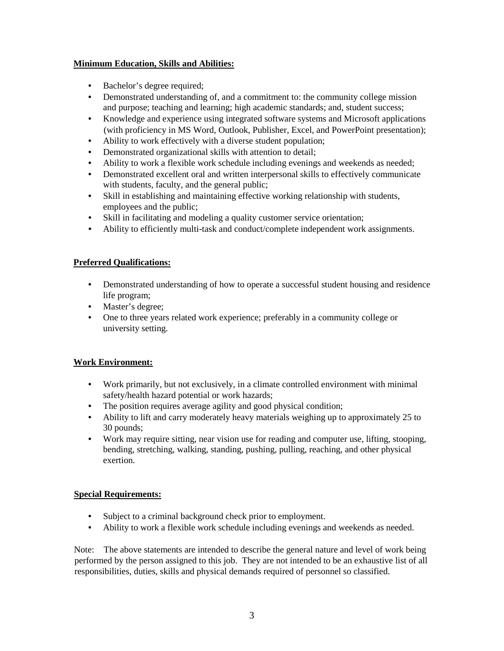## **Minimum Education, Skills and Abilities:**

- Bachelor's degree required;
- Demonstrated understanding of, and a commitment to: the community college mission and purpose; teaching and learning; high academic standards; and, student success;
- Knowledge and experience using integrated software systems and Microsoft applications (with proficiency in MS Word, Outlook, Publisher, Excel, and PowerPoint presentation);
- Ability to work effectively with a diverse student population;
- Demonstrated organizational skills with attention to detail;
- Ability to work a flexible work schedule including evenings and weekends as needed;
- Demonstrated excellent oral and written interpersonal skills to effectively communicate with students, faculty, and the general public;
- Skill in establishing and maintaining effective working relationship with students, employees and the public;
- Skill in facilitating and modeling a quality customer service orientation;
- Ability to efficiently multi-task and conduct/complete independent work assignments.

## **Preferred Qualifications:**

- Demonstrated understanding of how to operate a successful student housing and residence life program;
- Master's degree;
- One to three years related work experience; preferably in a community college or university setting.

## **Work Environment:**

- Work primarily, but not exclusively, in a climate controlled environment with minimal safety/health hazard potential or work hazards;
- The position requires average agility and good physical condition;
- Ability to lift and carry moderately heavy materials weighing up to approximately 25 to 30 pounds;
- Work may require sitting, near vision use for reading and computer use, lifting, stooping, bending, stretching, walking, standing, pushing, pulling, reaching, and other physical exertion.

## **Special Requirements:**

- Subject to a criminal background check prior to employment.
- Ability to work a flexible work schedule including evenings and weekends as needed.

Note: The above statements are intended to describe the general nature and level of work being performed by the person assigned to this job. They are not intended to be an exhaustive list of all responsibilities, duties, skills and physical demands required of personnel so classified.